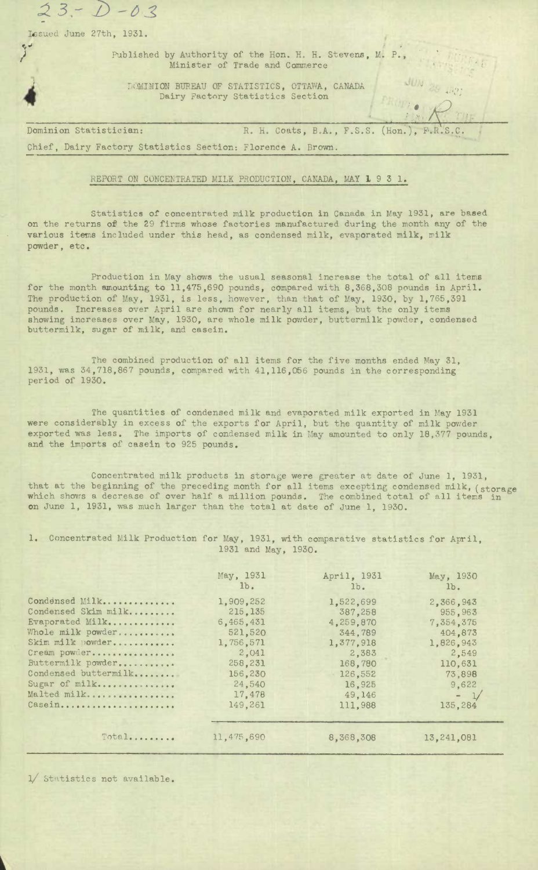$23 - D - 03$ 

Issued June 27th, 1931.

Published by Authority of the Hon. H. H. Stevens, M. Minister of Trade and Commerce

DOMINION BUREAU OF STATISTICS, OTTAWA, CANADA Dairy Factory Statistics Section

Dominion Statistician: R. H. Coats, B.A., F.S.S. (Hon.), F.R.S.C. Chief, Dairy Factory Statistics Section: F1orene A. Brown.

## REPORT ON CONCENTRATED MILK PRODUCTION, CANADA, MAY 1 9 3 1.

Statistics of concentrated milk production in Canada in May 1931, are based on the returns of the 29 firms whose factories manufactured during the month any of the various itens included under this head, as condensed milk, evaporated milk, n'ilk powder, etc.

Production in May shows the usual seasonal increase the total of all items for the month amounting to 11,475,690 pounds, compared with 8,368,308 pounds in April. The production of May, 1931, is less, however, than that of May, 1930, by 1,765,391 pounds. Increases over April are shown for nearly all items, but the only items showing increases over May, 1930, are whole milk powder, buttermilk powder, condensed buttermilk, sugar of milk, and casein.

The combined production of all items for the five months ended May 31, 1931, was 34,718,867 pounds, compared with 41,116,056 pounds in the corresponding period of 1930.

The quantities of condensed milk and evaporated milk exported in May 1931 were considerably in excess of the exports for April, but the quantity of milk powder exported was less. The imports of condensed milk in May amounted to only 18,377 pounds, and the imports of casein to 925 pounds.

Concentrated milk products in storage were greater at date of June 1, 1931, that at the beginning of the preceding month for all items excepting condensed milk, (storage which shows a decrease of over half a million pounds. The combined total of all items in on June 1, 1931, was much larger than the total at date of June 1, 1930.

1. Concentrated Milk Production for May, 1931, with comparative statistics for April, 1931 and May, 1930.

|                      | May, 1931<br>$1b$ . | April, 1931<br>$1b$ . | May, 1930<br>$1b$ . |
|----------------------|---------------------|-----------------------|---------------------|
| Condensed Milk       | 1,909,252           | 1,522,699             | 2,366,943           |
| Condensed Skim milk  | 215.135             | 387,258               | 955, 963            |
| Evaporated Milk      | 6,465,431           | 4,259,870             | 7,354,375           |
| Whole milk powder    | 521,520             | 344,789               | 404.873             |
| Skim milk powder     | 1,756,571           | 1,377,918             | 1,826,943           |
| Cream powder         | 2,041               | 2.383                 | 2,549               |
| Buttermilk powder    | 258,231             | 168,780               | 110,631             |
| Condensed buttermilk | 156,230             | 126,552               | 73,898              |
| Sugar of milk        | 24,540              | 16.925                | 9,622               |
| Malted milk          | 17,478              | 49,146                | $-1/$               |
| Casein               | 149,261             | 111.988               | 135,284             |
| $Total \dots$        | 11,475,690          | 8,368,308             | 13,241,081          |

i/ Statistics not available.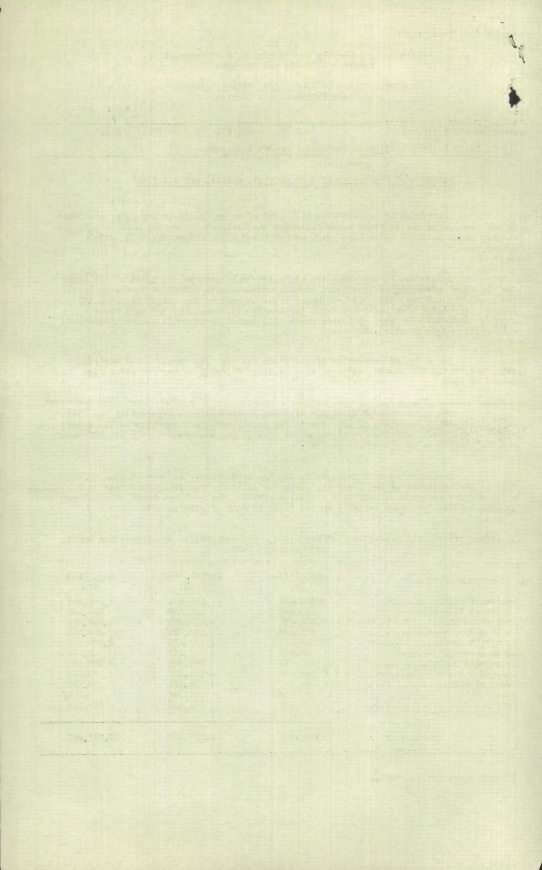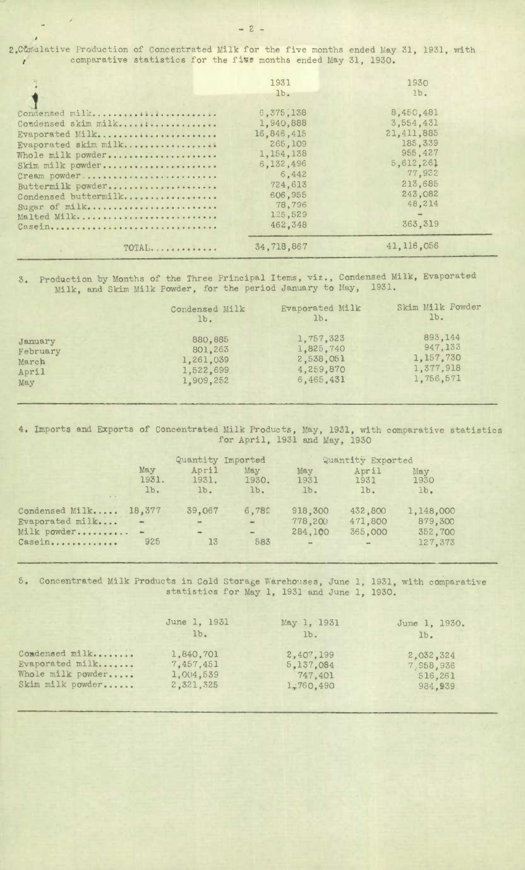2. Cumulative Production of Concentrated Milk for the five months ended May 31, 1931, with comparative statistics for the **five** months ended May 31, 1930.  $\mathcal{L}$ 

 $\mathcal{A}$ 

 $\mathcal{A}$  .  $\mathcal{X}$ 

|                                                                                                                                                                                                                                     | 1931<br>1 <sub>b</sub>                                                                                                                   | 1930<br>$1b$ .                                                                                                               |  |
|-------------------------------------------------------------------------------------------------------------------------------------------------------------------------------------------------------------------------------------|------------------------------------------------------------------------------------------------------------------------------------------|------------------------------------------------------------------------------------------------------------------------------|--|
| Condensed milk<br>Condensed skim milk<br>Evaporated Milk<br>Evaporated skim milk<br>Whole milk powder<br>Skim milk powder<br>Cream powder<br>Buttermilk powder<br>Condensed buttermilk<br>Sugar of milk<br>Malted Milk<br>$Case 1n$ | 6,375,138<br>1,940,888<br>16,846,415<br>265,109<br>1,154,138<br>6,132,496<br>6,442<br>724,613<br>606.955<br>78,796<br>125,529<br>462.348 | 8,450,481<br>3,554,431<br>21,411,885<br>185,339<br>955,427<br>5,612,261<br>77,932<br>213,685<br>243,082<br>48.214<br>363.319 |  |
| $\text{TOTAL}, \dots, \dots, \dots$                                                                                                                                                                                                 | 34,718,867                                                                                                                               | 41, 116, 056                                                                                                                 |  |

Production by Months of the Three Principal Items, viz., Condensed Milk, Evaporated Milk, and Skim Milk Powder, for the period January to May, 1931.

|          | Condensed Milk | <b>Evaporated Milk</b> | Skim Milk Powder |
|----------|----------------|------------------------|------------------|
|          | $1b$ .         | lb.                    | $1b$ .           |
| January  | 880,885        | 1,757,323              | 893,144          |
| February | 801,263        | 1,825,740              | 947, 133         |
| March    | 1,261,039      | 2,538,051              | 1, 157, 730      |
| April    | 1,522,699      | 4,259,870              | 1,377,918        |
| May      | 1,909,252      | 6,465,431              | 1,756,571        |

Imports and Exports of Concentrated Milk Products, May, 1931, with comparative statistics for April, 1931 and May, 1930

|                       |       | Quantity Imported |                |                | Quantity Exported |           |
|-----------------------|-------|-------------------|----------------|----------------|-------------------|-----------|
|                       | May   | April             | May            | May            | April             | May       |
|                       | 1931. | 1931.             | 1930.          | 1931           | 1931              | 1930      |
|                       | lb.   | 1 <sub>b</sub>    | 1 <sub>b</sub> | 1 <sub>b</sub> | 1 <sub>b</sub>    | $1b$ .    |
| Condensed Milk 18,377 |       | 39,067            | 6,789          | 918,300        | 432,800           | 1,148,000 |
| Evaporated milk       |       | $\sim$ $-$        | $\frac{1}{2}$  | 778,200        | 471,800           | 879,300   |
| Milk powder -         |       | $\sim$            | $\sim$         | 284,100        | 365,000           | 352,700   |
| Casein                | 925   | 13                | 583            | $\sim$         | $-$               | 127,373   |

Concentrated Milk Products in Cold Storage Wáreho'ses, June 1, 1931, with comparative statistics for May 1, 1931 and June 1, 1930.

|                   | June 1, 1931   | May 1, 1931 | June 1, 1930.  |
|-------------------|----------------|-------------|----------------|
|                   | 1 <sub>b</sub> | 1b.         | 1 <sub>b</sub> |
| Condensed milk    | 1,840,701      | 2,407.199   | 2,032,324      |
| Evaporated milk   | 7,457,451      | 5,137,084   | 7,958,936      |
| Whole milk powder | 1,004,539      | 747,401     | 516,261        |
| Skim milk powder  | 2,321,325      | 1,760,490   | 984,939        |